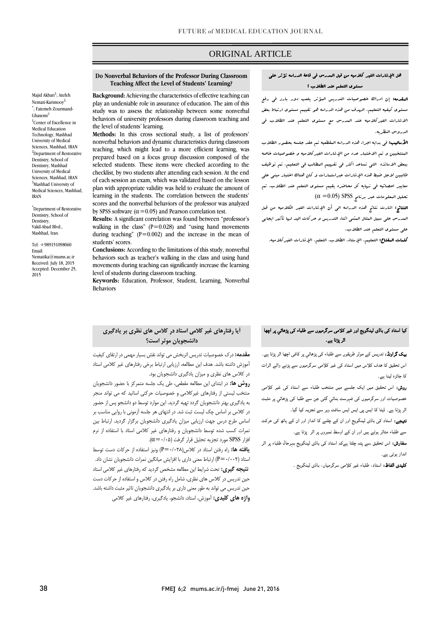# ORIGINAL ARTICLE

#### **Do Nonverbal Behaviors of the Professor During Classroom Teaching Affect the Level of Students' Learning?**

Majid Akba[ri](http://fmej.mums.ac.ir/article_7515.html#au1)<sup>1</sup>; Atefeh Nemati-Karimooy<sup>2,</sup> \* ; Fatemeh Zourmand-Ghase[mi](http://fmej.mums.ac.ir/article_7515.html#au3)<sup>3</sup> <sup>1</sup>Center of Excellence in Medical Education Technology, Mashhad University of Medical Sciences, Mashhad, IRAN <sup>2</sup>Department of Restorative Dentistry, School of Dentistry, Mashhad University of Medical Sciences, Mashhad, IRAN <sup>3</sup>Mashhad University of Medical Sciences, Mashhad, IRAN

\*Department of Restorative Dentistry, School of Dentistry, Vakil-Abad Blvd., Mashhad, Iran.

Tel: +989151098060 Email: Nematika@mums.ac.ir Received: July 18, 2015 Accepted: December 25, 2015

**Background:** Achieving the characteristics of effective teaching can play an undeniable role in assurance of education. The aim of this study was to assess the relationship between some nonverbal behaviors of university professors during classroom teaching and the level of students' learning.

**Methods:** In this cross sectional study, a list of professors' nonverbal behaviors and dynamic characteristics during classroom teaching, which might lead to a more efficient learning, was prepared based on a focus group discussion composed of the selected students. These items were checked according to the checklist, by two students after attending each session. At the end of each session an exam, which was validated based on the lesson plan with appropriate validity was held to evaluate the amount of learning in the students. The correlation between the students' scores and the nonverbal behaviors of the professor was analyzed by SPSS software ( $\alpha$ =0.05) and Pearson correlation test.

**Results:** A significant correlation was found between "professor's walking in the class"  $(P=0.028)$  and "using hand movements" during teaching" ( $P=0.002$ ) and the increase in the mean of students' scores.

**Conclusions:** According to the limitations of this study, nonverbal behaviors such as teacher's walking in the class and using hand movements during teaching can significantly increase the learning level of students during classroom teaching.

**Keywords:** Education, [Professor,](http://www.ncbi.nlm.nih.gov/mesh/68005178) Student, Learning, Nonverbal Behaviors

# **آيا رفتارهای غیر کالمی استاد در کالس های نظری بر يادگیری دانشجويان موثر است؟**

**مقدمه:** درک خصوصیات تدریس اثربخش می تواند نقش بسیار مهمی در ارتقای کیفیت آموزش داشته باشد. هدف این مطالعه، ارزیابی ارتباط برخی رفتارهای غیر کالمی استاد در کالس های نظری و میزان یادگیری دانشجویان بود.

**روش ها:** در ابتدای این مطالعه مقطعی، طی یک جلسه متمرکز با حضور دانشجویان منتخب لیستی از رفتارهای غیرکالمی و خصوصیات حرکتی اساتید که می تواند منجر به یادگیری بهتر دانشجویان گردد تهیه گردید. این موارد توسط دو دانشجو پس از حضور در کالس بر اساس چک لیست ثبت شد. در انتهای هر جلسه آزمونی با روایی مناسب بر اساس طرح درس جهت ارزیابی میزان یادگیری دانشجویان برگزار گردید. ارتباط بین نمرات کسب شده توسط دانشجویان و رفتارهای غیر کالمی استاد با استفاده از نرم افزار SPSS مورد تجزیه تحلیل قرار گرفت (۵+/۰=α).

**يافته ها:** راه رفتن استاد در کالس)0/028=P )ونیز استفاده از حرکات دست توسط استاد )0/002=P )ارتباط معنی داری با افزایش میانگین نمرات دانشجویان نشان داد. **نتیجه گیری:** تحت شرایط این مطالعه مشخص گردید که رفتارهای غیر کالمی استاد حین تدریس در کالس های نظری، شامل راه رفتن در کالس و استفاده از حرکات دست حین تدریس می تواند به طور معنی داری بر یادگیری دانشجویان تاثیر مثبت داشته باشد. **واژه های کلیدی:** آموزش، استاد، دانشجو، یادگیری، رفتارهای غیر کالمی

## هل اإلشارات الغير كالميه من قبل المدرس في قاعة الدراسه تؤثر علي مستوي التعلم عند الطالب ؟

ص

المقدمه: إن ادراك خصوصيات التدريس المؤثر يلعب دور بارز في رفع مستوي كيفيه التعليم. الهدف من هذه الدراسه هو تقييم مستوي ارتباط بعض االشارات الغيركالميه عند المدرس مع مستوي التعلم عند الطالب في الدروس النظريه.

**الأساليب:** ف<sub>ى</sub> بدايه اجراء هذه الدراسه البقطعيه تم عقد جلسه بحضور الطلاب الىنتخبين و تم الاختبار عدد من الإشارات الغيركلاميه و خصوصيات خاصه ببعض االساتذه التي تساعد اكثر في تفهيم المطالب في التعليم. تم توظيف طالبين الجل ضبط هذه اإلشارات عبراستمارات و كان هناك اختبار مبني علي معايير احصائيه في نهايه كل محاضره يقيم مستوي التعلم عند الطالب. تم  $(\alpha=0.05)$  SPSS بحصليل البعلومات عبر برنامج

النتائج: اشارت نتائج هذه الدراسه الي أن اإلشارات الغير الكالميه من قبل المدرس علي سبيل المثال المشي اثناء التدريس و حركات اليد لها تأثير ايجابي علي مستوي التعلم عند الطالب.

كلمات المفتاح: التعليم، اإلستاذ، الطالب، التعلم، اإلشارات الغيركالميه.

## کیا استاد کی باڈی لینگویج اور غیر کلامی سرگرمیوں سے طلباء کی پڑھائي پر اچھا اثر پڑتا ہے۔

بیک گراونڈ: تدریس کے موثر طریقوں سے طلباء کی پڑھائي پر کافی اچھا اثر پڑتا ہے۔ اس تحقیق کا ھدف کلاس میں استاد کی غیر کلامی سرگرمیوں سے پڑنے والے اثرات کا جائزہ لینا ہے۔

روش: اس تحقیق میں ایک جلسے میں منتخب طلباء سے استاد کی غیر کلامی خصوصیات اور سرگرمیوں کی فہرست بنائي گئی جن سے طلبا کی پڑھائي پر مثبت اثر پڑتا ہے۔ ڈیٹا کا ایس پی ایس ایس سافٹ ویر سے تجزیہ کیا گيا۔

۔<br>**نتیجے:** استاد کی باڈی لینگویج اور ان کے چلنے کا انداز اور ان کے ہاتھ کی حرکت سے طلباء متاثر ہوتے ہیں اور ان کے اوسط نمبروں پر اثر پڑتا ہے۔

سفارش: اس تحقیق سے پتہ چلتا ہےکہ استاد کی باڈی لینگویج بہرحال طلباء پر اثر انداز ہوتی ہے۔

کلیدی الفاظ: استاد، طلباء غیر کلامی سرگرمیاں، باڈی لینگویج ۔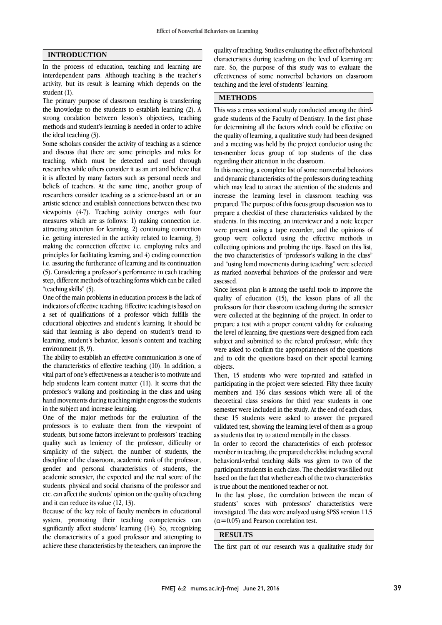### **INTRODUCTION**

In the process of education, teaching and learning are interdependent parts. Although teaching is the teacher's activity, but its result is learning which depends on the student (1).

The primary purpose of classroom teaching is transferring the knowledge to the students to establish learning (2). A strong coralation between lesson's objectives, teaching methods and student's learning is needed in order to achive the ideal teaching (3).

Some scholars consider the activity of teaching as a science and discuss that there are some principles and rules for teaching, which must be detected and used through researches while others consider it as an art and believe that it is affected by many factors such as personal needs and beliefs of teachers. At the same time, another group of researchers consider teaching as a science-based art or an artistic science and establish connections between these two viewpoints (4-7). Teaching activity emerges with four measures which are as follows: 1) making connection i.e. attracting attention for learning, 2) continuing connection i.e. getting interested in the activity related to learning, 3) making the connection effective i.e. employing rules and principles for facilitating learning, and 4) ending connection i.e. assuring the furtherance of learning and its continuation (5). Considering a professor's performance in each teaching step, different methods of teaching forms which can be called "teaching skills" (5).

One of the main problems in education process is the lack of indicators of effective teaching. Effective teaching is based on a set of qualifications of a professor which fulfills the educational objectives and student's learning. It should be said that learning is also depend on student's trend to learning, student's behavior, lesson's content and teaching environment (8, 9).

The ability to establish an effective communication is one of the characteristics of effective teaching (10). In addition, a vital part of one's effectiveness as a teacher is to motivate and help students learn content matter (11). It seems that the professor's walking and positioning in the class and using hand movements during teaching might engross the students in the subject and increase learning.

One of the major methods for the evaluation of the professors is to evaluate them from the viewpoint of students, but some factors irrelevant to professors' teaching quality such as leniency of the professor, difficulty or simplicity of the subject, the number of students, the discipline of the classroom, academic rank of the professor, gender and personal characteristics of students, the academic semester, the expected and the real score of the students, physical and social charisma of the professor and etc. can affect the students' opinion on the quality of teaching and it can reduce its value (12, 13).

Because of the key role of faculty members in educational system, promoting their teaching competencies can significantly affect students' learning (14). So, recognizing the characteristics of a good professor and attempting to achieve these characteristics by the teachers, can improve the quality of teaching. Studies evaluating the effect of behavioral characteristics during teaching on the level of learning are rare. So, the purpose of this study was to evaluate the effectiveness of some nonverbal behaviors on classroom teaching and the level of students' learning.

### **METHODS**

This was a cross sectional study conducted among the thirdgrade students of the Faculty of Dentistry. In the first phase for determining all the factors which could be effective on the quality of learning, a qualitative study had been designed and a meeting was held by the project conductor using the ten-member focus group of top students of the class regarding their attention in the classroom.

In this meeting, a complete list of some nonverbal behaviors and dynamic characteristics of the professors during teaching which may lead to attract the attention of the students and increase the learning level in classroom teaching was prepared. The purpose of this focus group discussion was to prepare a checklist of these characteristics validated by the students. In this meeting, an interviewer and a note keeper were present using a tape recorder, and the opinions of group were collected using the effective methods in collecting opinions and probing the tips. Based on this list, the two characteristics of "professor's walking in the class" and "using hand movements during teaching" were selected as marked nonverbal behaviors of the professor and were assessed.

Since lesson plan is among the useful tools to improve the quality of education (15), the lesson plans of all the professors for their classroom teaching during the semester were collected at the beginning of the project. In order to prepare a test with a proper content validity for evaluating the level of learning, five questions were designed from each subject and submitted to the related professor, while they were asked to confirm the appropriateness of the questions and to edit the questions based on their special learning objects.

Then, 15 students who were top-rated and satisfied in participating in the project were selected. Fifty three faculty members and 136 class sessions which were all of the theoretical class sessions for third year students in one semester were included in the study. At the end of each class, these 15 students were asked to answer the prepared validated test, showing the learning level of them as a group as students that try to attend mentally in the classes.

In order to record the characteristics of each professor member in teaching, the prepared checklist including several behavioral-verbal teaching skills was given to two of the participant students in each class. The checklist was filled out based on the fact that whether each of the two characteristics is true about the mentioned teacher or not.

In the last phase, the correlation between the mean of students' scores with professors' characteristics were investigated. The data were analyzed using SPSS version 11.5  $(\alpha=0.05)$  and Pearson correlation test.

#### **RESULTS**

The first part of our research was a qualitative study for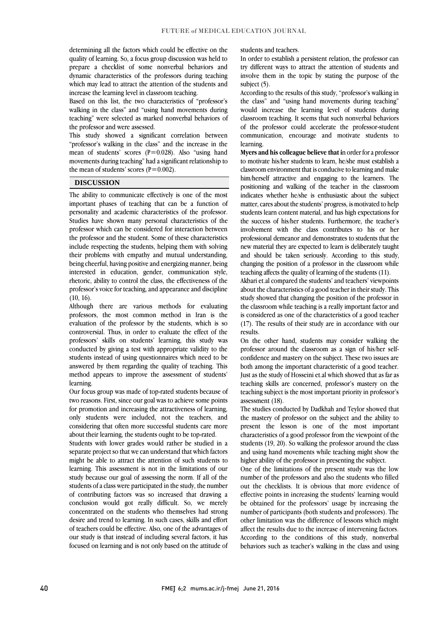determining all the factors which could be effective on the quality of learning. So, a focus group discussion was held to prepare a checklist of some nonverbal behaviors and dynamic characteristics of the professors during teaching which may lead to attract the attention of the students and increase the learning level in classroom teaching.

Based on this list, the two characteristics of "professor's walking in the class" and "using hand movements during teaching" were selected as marked nonverbal behaviors of the professor and were assessed.

This study showed a significant correlation between "professor's walking in the class" and the increase in the mean of students' scores  $(P=0.028)$ . Also "using hand movements during teaching" had a significant relationship to the mean of students' scores ( $P=0.002$ ).

### **DISCUSSION**

The ability to communicate effectively is one of the most important phases of teaching that can be a function of personality and academic characteristics of the professor. Studies have shown many personal characteristics of the professor which can be considered for interaction between the professor and the student. Some of these characteristics include respecting the students, helping them with solving their problems with empathy and mutual understanding, being cheerful, having positive and energizing manner, being interested in education, gender, communication style, rhetoric, ability to control the class, the effectiveness of the professor's voice for teaching, and appearance and discipline  $(10, 16)$ .

Although there are various methods for evaluating professors, the most common method in Iran is the evaluation of the professor by the students, which is so controversial. Thus, in order to evaluate the effect of the professors' skills on students' learning, this study was conducted by giving a test with appropriate validity to the students instead of using questionnaires which need to be answered by them regarding the quality of teaching. This method appears to improve the assessment of students' learning.

Our focus group was made of top-rated students because of two reasons. First, since our goal was to achieve some points for promotion and increasing the attractiveness of learning, only students were included, not the teachers, and considering that often more successful students care more about their learning, the students ought to be top-rated.

Students with lower grades would rather be studied in a separate project so that we can understand that which factors might be able to attract the attention of such students to learning. This assessment is not in the limitations of our study because our goal of assessing the norm. If all of the students of a class were participated in the study, the number of contributing factors was so increased that drawing a conclusion would got really difficult. So, we merely concentrated on the students who themselves had strong desire and trend to learning. In such cases, skills and effort of teachers could be effective. Also, one of the advantages of our study is that instead of including several factors, it has focused on learning and is not only based on the attitude of

#### students and teachers.

In order to establish a persistent relation, the professor can try different ways to attract the attention of students and involve them in the topic by stating the purpose of the subject (5).

According to the results of this study, "professor's walking in the class" and "using hand movements during teaching" would increase the learning level of students during classroom teaching. It seems that such nonverbal behaviors of the professor could accelerate the professor-student communication, encourage and motivate students to learning.

**Myers and his colleague believe that i**n order for a professor to motivate his/her students to learn, he/she must establish a classroom environment that is conducive to learning and make him/herself attractive and engaging to the learners. The positioning and walking of the teacher in the classroom indicates whether he/she is enthusiastic about the subject matter, cares about the students' progress, is motivated to help students learn content material, and has high expectations for the success of his/her students. Furthermore, the teacher's involvement with the class contributes to his or her professional demeanor and demonstrates to students that the new material they are expected to learn is deliberately taught and should be taken seriously. According to this study, changing the position of a professor in the classroom while teaching affects the quality of learning of the students (11).

Akbari et.al compared the students' and teachers' viewpoints about the characteristics of a good teacher in their study. This study showed that changing the position of the professor in the classroom while teaching is a really important factor and is considered as one of the characteristics of a good teacher (17). The results of their study are in accordance with our results.

On the other hand, students may consider walking the professor around the classroom as a sign of his/her selfconfidence and mastery on the subject. These two issues are both among the important characteristic of a good teacher. Just as the study of Hosseini et.al which showed that as far as teaching skills are concerned, professor's mastery on the teaching subject is the most important priority in professor's assessment (18).

The studies conducted by Dadkhah and Teylor showed that the mastery of professor on the subject and the ability to present the lesson is one of the most important characteristics of a good professor from the viewpoint of the students (19, 20). So walking the professor around the class and using hand movements while teaching might show the higher ability of the professor in presenting the subject.

One of the limitations of the present study was the low number of the professors and also the students who filled out the checklists. It is obvious that more evidence of effective points in increasing the students' learning would be obtained for the professors' usage by increasing the number of participants (both students and professors). The other limitation was the difference of lessons which might affect the results due to the increase of intervening factors. According to the conditions of this study, nonverbal behaviors such as teacher's walking in the class and using